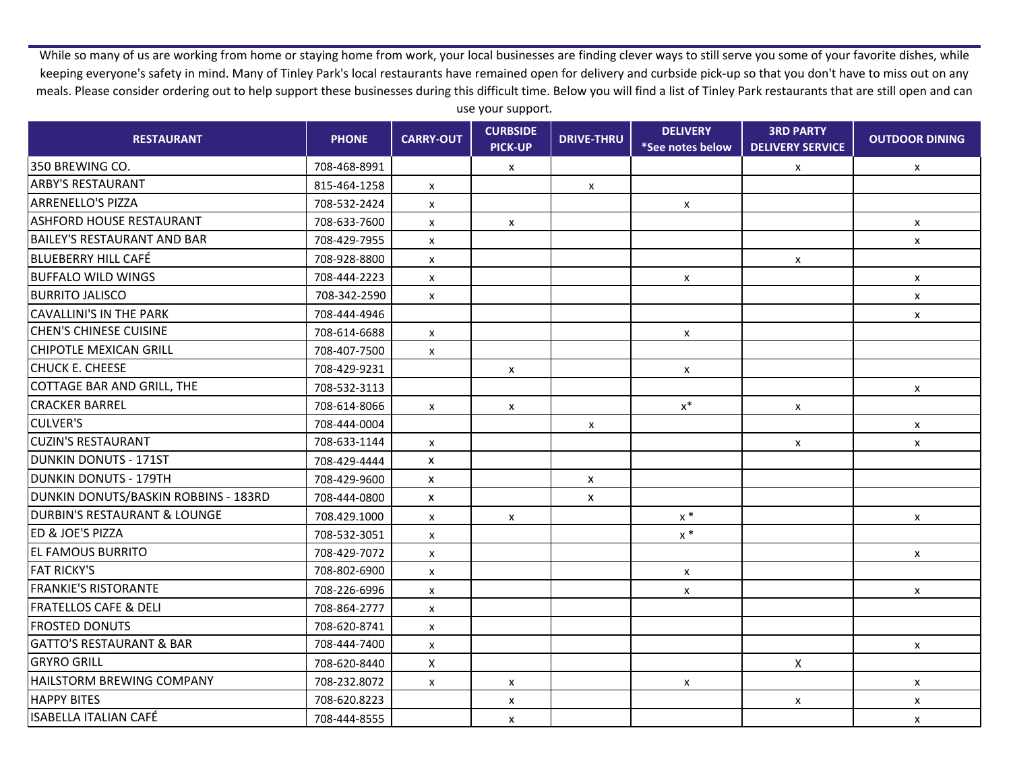While so many of us are working from home or staying home from work, your local businesses are finding clever ways to still serve you some of your favorite dishes, while keeping everyone's safety in mind. Many of Tinley Park's local restaurants have remained open for delivery and curbside pick-up so that you don't have to miss out on any meals. Please consider ordering out to help support these businesses during this difficult time. Below you will find a list of Tinley Park restaurants that are still open and can use your support.

| <b>RESTAURANT</b>                       | <b>PHONE</b> | <b>CARRY-OUT</b>          | <b>CURBSIDE</b><br><b>PICK-UP</b> | <b>DRIVE-THRU</b>  | <b>DELIVERY</b><br>*See notes below | <b>3RD PARTY</b><br><b>DELIVERY SERVICE</b> | <b>OUTDOOR DINING</b>     |
|-----------------------------------------|--------------|---------------------------|-----------------------------------|--------------------|-------------------------------------|---------------------------------------------|---------------------------|
| 350 BREWING CO.                         | 708-468-8991 |                           | X                                 |                    |                                     | $\boldsymbol{\mathsf{X}}$                   | X                         |
| <b>ARBY'S RESTAURANT</b>                | 815-464-1258 | X                         |                                   | X                  |                                     |                                             |                           |
| <b>ARRENELLO'S PIZZA</b>                | 708-532-2424 | $\boldsymbol{\mathsf{x}}$ |                                   |                    | X                                   |                                             |                           |
| <b>ASHFORD HOUSE RESTAURANT</b>         | 708-633-7600 | $\pmb{\mathsf{x}}$        | $\pmb{\mathsf{X}}$                |                    |                                     |                                             | $\pmb{\mathsf{X}}$        |
| <b>BAILEY'S RESTAURANT AND BAR</b>      | 708-429-7955 | $\boldsymbol{\mathsf{x}}$ |                                   |                    |                                     |                                             | $\boldsymbol{\mathsf{x}}$ |
| BLUEBERRY HILL CAFÉ                     | 708-928-8800 | $\pmb{\mathsf{X}}$        |                                   |                    |                                     | $\boldsymbol{\mathsf{x}}$                   |                           |
| <b>BUFFALO WILD WINGS</b>               | 708-444-2223 | $\pmb{\mathsf{x}}$        |                                   |                    | X                                   |                                             | $\boldsymbol{\mathsf{x}}$ |
| <b>BURRITO JALISCO</b>                  | 708-342-2590 | $\boldsymbol{\mathsf{x}}$ |                                   |                    |                                     |                                             | $\pmb{\mathsf{X}}$        |
| <b>CAVALLINI'S IN THE PARK</b>          | 708-444-4946 |                           |                                   |                    |                                     |                                             | $\boldsymbol{\mathsf{x}}$ |
| <b>CHEN'S CHINESE CUISINE</b>           | 708-614-6688 | $\boldsymbol{\mathsf{x}}$ |                                   |                    | X                                   |                                             |                           |
| <b>CHIPOTLE MEXICAN GRILL</b>           | 708-407-7500 | $\boldsymbol{\mathsf{x}}$ |                                   |                    |                                     |                                             |                           |
| <b>CHUCK E. CHEESE</b>                  | 708-429-9231 |                           | $\mathsf{x}$                      |                    | X                                   |                                             |                           |
| COTTAGE BAR AND GRILL, THE              | 708-532-3113 |                           |                                   |                    |                                     |                                             | X                         |
| <b>CRACKER BARREL</b>                   | 708-614-8066 | $\boldsymbol{\mathsf{x}}$ | X                                 |                    | $x^*$                               | X                                           |                           |
| <b>CULVER'S</b>                         | 708-444-0004 |                           |                                   | $\pmb{\mathsf{X}}$ |                                     |                                             | $\mathsf{x}$              |
| <b>CUZIN'S RESTAURANT</b>               | 708-633-1144 | $\boldsymbol{\mathsf{x}}$ |                                   |                    |                                     | X                                           | X                         |
| DUNKIN DONUTS - 171ST                   | 708-429-4444 | $\mathsf{x}$              |                                   |                    |                                     |                                             |                           |
| <b>DUNKIN DONUTS - 179TH</b>            | 708-429-9600 | $\boldsymbol{\mathsf{X}}$ |                                   | $\mathsf{x}$       |                                     |                                             |                           |
| DUNKIN DONUTS/BASKIN ROBBINS - 183RD    | 708-444-0800 | X                         |                                   | X                  |                                     |                                             |                           |
| <b>DURBIN'S RESTAURANT &amp; LOUNGE</b> | 708.429.1000 | X                         | X                                 |                    | $\times$ *                          |                                             | $\boldsymbol{\mathsf{x}}$ |
| <b>ED &amp; JOE'S PIZZA</b>             | 708-532-3051 | $\pmb{\mathsf{x}}$        |                                   |                    | $x^*$                               |                                             |                           |
| <b>EL FAMOUS BURRITO</b>                | 708-429-7072 | $\pmb{\mathsf{x}}$        |                                   |                    |                                     |                                             | $\mathsf{x}$              |
| <b>FAT RICKY'S</b>                      | 708-802-6900 | $\boldsymbol{\mathsf{x}}$ |                                   |                    | X                                   |                                             |                           |
| <b>FRANKIE'S RISTORANTE</b>             | 708-226-6996 | X                         |                                   |                    | X                                   |                                             | X                         |
| <b>FRATELLOS CAFE &amp; DELI</b>        | 708-864-2777 | $\boldsymbol{\mathsf{x}}$ |                                   |                    |                                     |                                             |                           |
| <b>FROSTED DONUTS</b>                   | 708-620-8741 | $\pmb{\mathsf{X}}$        |                                   |                    |                                     |                                             |                           |
| <b>GATTO'S RESTAURANT &amp; BAR</b>     | 708-444-7400 | X                         |                                   |                    |                                     |                                             | X                         |
| <b>GRYRO GRILL</b>                      | 708-620-8440 | X                         |                                   |                    |                                     | $\mathsf{X}$                                |                           |
| <b>HAILSTORM BREWING COMPANY</b>        | 708-232.8072 | X                         | X                                 |                    | X                                   |                                             | $\mathsf{x}$              |
| <b>HAPPY BITES</b>                      | 708-620.8223 |                           | X                                 |                    |                                     | $\boldsymbol{\mathsf{x}}$                   | X                         |
| ISABELLA ITALIAN CAFÉ                   | 708-444-8555 |                           | X                                 |                    |                                     |                                             | X                         |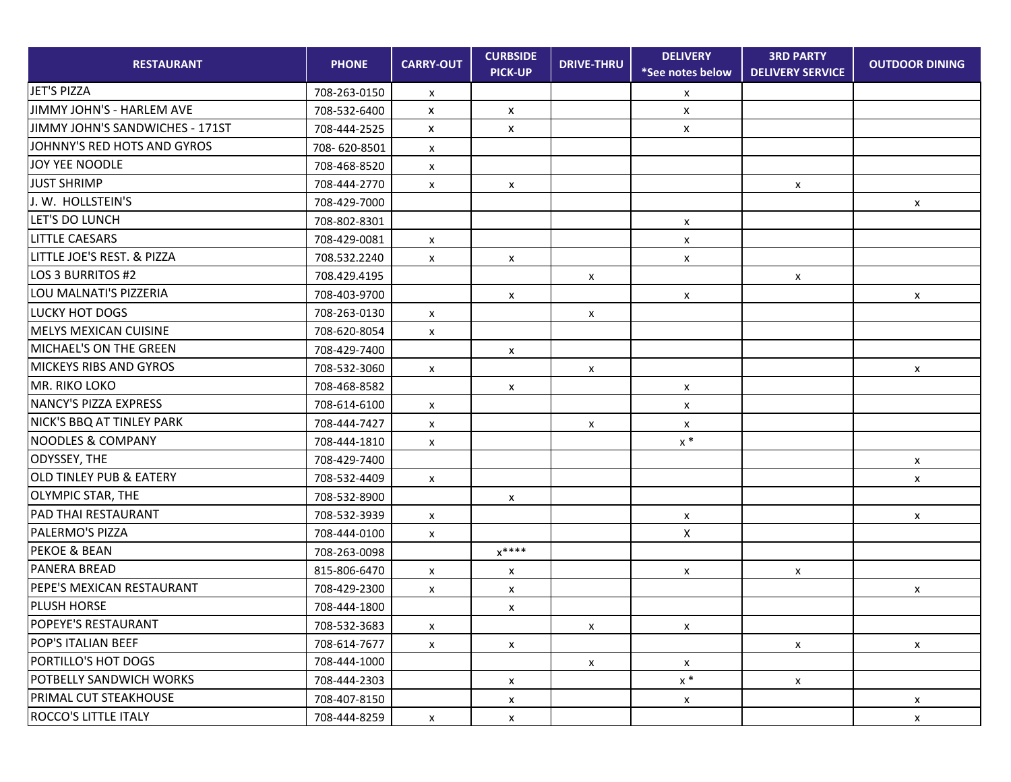| <b>RESTAURANT</b>                     | <b>PHONE</b> | <b>CARRY-OUT</b>          | <b>CURBSIDE</b><br><b>PICK-UP</b> | <b>DRIVE-THRU</b> | <b>DELIVERY</b><br>*See notes below | <b>3RD PARTY</b><br><b>DELIVERY SERVICE</b> | <b>OUTDOOR DINING</b>     |
|---------------------------------------|--------------|---------------------------|-----------------------------------|-------------------|-------------------------------------|---------------------------------------------|---------------------------|
| JET'S PIZZA                           | 708-263-0150 | $\mathsf{x}$              |                                   |                   | X                                   |                                             |                           |
| <b>JIMMY JOHN'S - HARLEM AVE</b>      | 708-532-6400 | $\boldsymbol{\mathsf{x}}$ | $\mathsf{X}^-$                    |                   | $\pmb{\mathsf{X}}$                  |                                             |                           |
| JIMMY JOHN'S SANDWICHES - 171ST       | 708-444-2525 | $\pmb{\mathsf{X}}$        | $\mathsf{X}^-$                    |                   | X                                   |                                             |                           |
| JOHNNY'S RED HOTS AND GYROS           | 708-620-8501 | $\pmb{\mathsf{X}}$        |                                   |                   |                                     |                                             |                           |
| JOY YEE NOODLE                        | 708-468-8520 | $\pmb{\mathsf{X}}$        |                                   |                   |                                     |                                             |                           |
| <b>JUST SHRIMP</b>                    | 708-444-2770 | $\pmb{\mathsf{X}}$        | $\pmb{\mathsf{X}}$                |                   |                                     | $\mathsf{x}$                                |                           |
| J. W. HOLLSTEIN'S                     | 708-429-7000 |                           |                                   |                   |                                     |                                             | $\mathsf{x}$              |
| <b>LET'S DO LUNCH</b>                 | 708-802-8301 |                           |                                   |                   | $\boldsymbol{\mathsf{x}}$           |                                             |                           |
| <b>LITTLE CAESARS</b>                 | 708-429-0081 | $\mathsf{x}$              |                                   |                   | X                                   |                                             |                           |
| <b>LITTLE JOE'S REST. &amp; PIZZA</b> | 708.532.2240 | $\pmb{\mathsf{X}}$        | $\pmb{\mathsf{X}}$                |                   | X                                   |                                             |                           |
| LOS 3 BURRITOS #2                     | 708.429.4195 |                           |                                   | X                 |                                     | $\boldsymbol{\mathsf{X}}$                   |                           |
| <b>LOU MALNATI'S PIZZERIA</b>         | 708-403-9700 |                           | X                                 |                   | $\boldsymbol{\mathsf{x}}$           |                                             | $\boldsymbol{\mathsf{x}}$ |
| <b>LUCKY HOT DOGS</b>                 | 708-263-0130 | $\pmb{\mathsf{X}}$        |                                   | X                 |                                     |                                             |                           |
| <b>MELYS MEXICAN CUISINE</b>          | 708-620-8054 | $\pmb{\mathsf{X}}$        |                                   |                   |                                     |                                             |                           |
| MICHAEL'S ON THE GREEN                | 708-429-7400 |                           | X                                 |                   |                                     |                                             |                           |
| <b>MICKEYS RIBS AND GYROS</b>         | 708-532-3060 | $\boldsymbol{\mathsf{x}}$ |                                   | X                 |                                     |                                             | $\boldsymbol{\mathsf{x}}$ |
| MR. RIKO LOKO                         | 708-468-8582 |                           | X                                 |                   | X                                   |                                             |                           |
| NANCY'S PIZZA EXPRESS                 | 708-614-6100 | $\mathsf{x}$              |                                   |                   | $\pmb{\mathsf{X}}$                  |                                             |                           |
| NICK'S BBQ AT TINLEY PARK             | 708-444-7427 | $\pmb{\mathsf{X}}$        |                                   | $\mathsf{x}$      | X                                   |                                             |                           |
| <b>NOODLES &amp; COMPANY</b>          | 708-444-1810 | $\mathsf{x}$              |                                   |                   | $\times$ *                          |                                             |                           |
| ODYSSEY, THE                          | 708-429-7400 |                           |                                   |                   |                                     |                                             | $\pmb{\mathsf{X}}$        |
| <b>OLD TINLEY PUB &amp; EATERY</b>    | 708-532-4409 | $\mathsf{x}$              |                                   |                   |                                     |                                             | X                         |
| <b>OLYMPIC STAR, THE</b>              | 708-532-8900 |                           | X                                 |                   |                                     |                                             |                           |
| <b>PAD THAI RESTAURANT</b>            | 708-532-3939 | $\pmb{\mathsf{X}}$        |                                   |                   | $\boldsymbol{\mathsf{x}}$           |                                             | X                         |
| <b>PALERMO'S PIZZA</b>                | 708-444-0100 | $\pmb{\mathsf{X}}$        |                                   |                   | X                                   |                                             |                           |
| <b>PEKOE &amp; BEAN</b>               | 708-263-0098 |                           | $x***$                            |                   |                                     |                                             |                           |
| <b>PANERA BREAD</b>                   | 815-806-6470 | $\mathsf{x}$              | $\pmb{\mathsf{X}}$                |                   | X                                   | $\mathsf{x}$                                |                           |
| <b>PEPE'S MEXICAN RESTAURANT</b>      | 708-429-2300 | $\mathsf{x}$              | $\pmb{\mathsf{X}}$                |                   |                                     |                                             | X                         |
| <b>PLUSH HORSE</b>                    | 708-444-1800 |                           | X                                 |                   |                                     |                                             |                           |
| <b>POPEYE'S RESTAURANT</b>            | 708-532-3683 | $\mathsf{x}$              |                                   | X                 | $\mathsf{x}$                        |                                             |                           |
| <b>POP'S ITALIAN BEEF</b>             | 708-614-7677 | $\mathsf{x}$              | X                                 |                   |                                     | $\mathsf{x}$                                | $\mathsf{x}$              |
| <b>PORTILLO'S HOT DOGS</b>            | 708-444-1000 |                           |                                   | X                 | $\mathsf{x}$                        |                                             |                           |
| <b>POTBELLY SANDWICH WORKS</b>        | 708-444-2303 |                           | $\mathsf{x}$                      |                   | $\times$ *                          | $\mathsf{x}$                                |                           |
| <b>PRIMAL CUT STEAKHOUSE</b>          | 708-407-8150 |                           | X                                 |                   | X                                   |                                             | X                         |
| <b>ROCCO'S LITTLE ITALY</b>           | 708-444-8259 | X                         | X                                 |                   |                                     |                                             | X                         |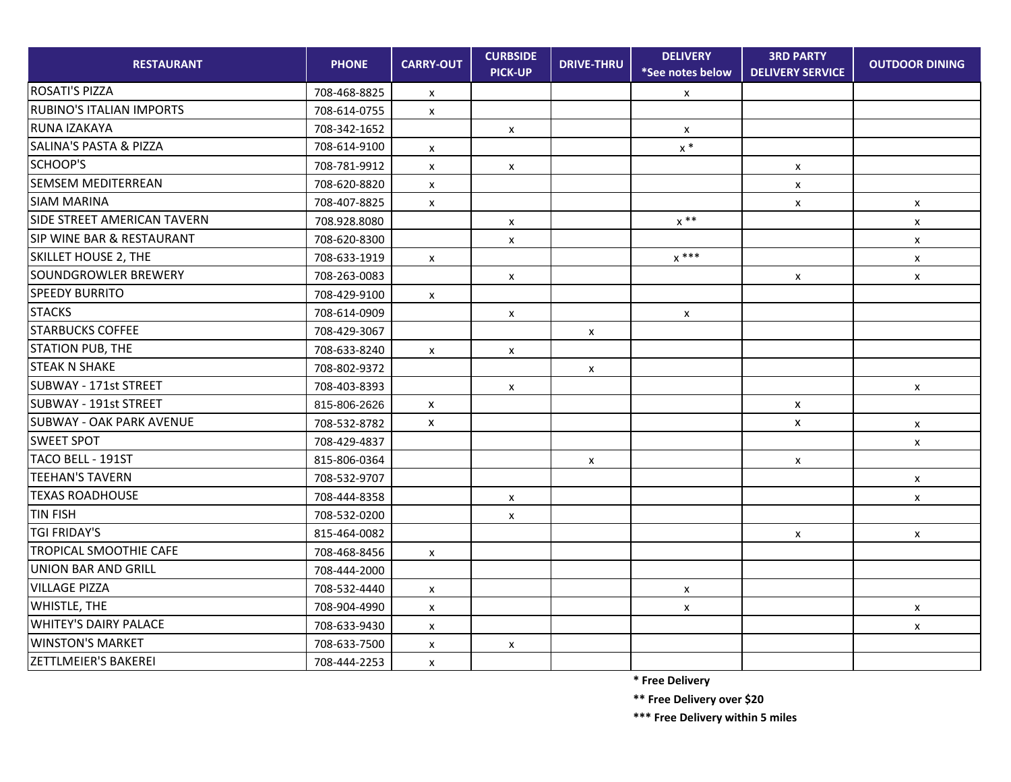| <b>RESTAURANT</b>                  | <b>PHONE</b> | <b>CARRY-OUT</b>          | <b>CURBSIDE</b><br><b>PICK-UP</b> | <b>DRIVE-THRU</b>  | <b>DELIVERY</b><br>*See notes below | <b>3RD PARTY</b><br><b>DELIVERY SERVICE</b> | <b>OUTDOOR DINING</b> |
|------------------------------------|--------------|---------------------------|-----------------------------------|--------------------|-------------------------------------|---------------------------------------------|-----------------------|
| <b>ROSATI'S PIZZA</b>              | 708-468-8825 | $\mathsf{x}$              |                                   |                    | $\boldsymbol{\mathsf{x}}$           |                                             |                       |
| <b>RUBINO'S ITALIAN IMPORTS</b>    | 708-614-0755 | $\mathsf{x}$              |                                   |                    |                                     |                                             |                       |
| RUNA IZAKAYA                       | 708-342-1652 |                           | $\mathsf X$                       |                    | $\pmb{\mathsf{X}}$                  |                                             |                       |
| <b>SALINA'S PASTA &amp; PIZZA</b>  | 708-614-9100 | $\pmb{\mathsf{X}}$        |                                   |                    | $\times$ *                          |                                             |                       |
| SCHOOP'S                           | 708-781-9912 | $\mathsf{x}$              | X                                 |                    |                                     | $\boldsymbol{\mathsf{x}}$                   |                       |
| <b>SEMSEM MEDITERREAN</b>          | 708-620-8820 | $\mathsf{x}$              |                                   |                    |                                     | $\pmb{\mathsf{X}}$                          |                       |
| <b>SIAM MARINA</b>                 | 708-407-8825 | $\mathsf{x}$              |                                   |                    |                                     | $\mathsf{x}$                                | $\pmb{\mathsf{X}}$    |
| <b>SIDE STREET AMERICAN TAVERN</b> | 708.928.8080 |                           | X                                 |                    | $x^{\ast\ast}$                      |                                             | X                     |
| SIP WINE BAR & RESTAURANT          | 708-620-8300 |                           | $\mathsf{x}$                      |                    |                                     |                                             | X                     |
| <b>SKILLET HOUSE 2, THE</b>        | 708-633-1919 | $\mathsf{x}$              |                                   |                    | $x***$                              |                                             | $\pmb{\mathsf{X}}$    |
| <b>SOUNDGROWLER BREWERY</b>        | 708-263-0083 |                           | X                                 |                    |                                     | X                                           | X                     |
| <b>SPEEDY BURRITO</b>              | 708-429-9100 | $\mathsf{x}$              |                                   |                    |                                     |                                             |                       |
| <b>STACKS</b>                      | 708-614-0909 |                           | $\mathsf{x}$                      |                    | $\pmb{\mathsf{X}}$                  |                                             |                       |
| <b>STARBUCKS COFFEE</b>            | 708-429-3067 |                           |                                   | $\pmb{\mathsf{X}}$ |                                     |                                             |                       |
| <b>STATION PUB, THE</b>            | 708-633-8240 | $\mathsf{x}$              | $\pmb{\mathsf{X}}$                |                    |                                     |                                             |                       |
| <b>STEAK N SHAKE</b>               | 708-802-9372 |                           |                                   | X                  |                                     |                                             |                       |
| SUBWAY - 171st STREET              | 708-403-8393 |                           | $\mathsf{x}$                      |                    |                                     |                                             | X                     |
| SUBWAY - 191st STREET              | 815-806-2626 | $\mathsf{x}$              |                                   |                    |                                     | $\mathsf{x}$                                |                       |
| <b>SUBWAY - OAK PARK AVENUE</b>    | 708-532-8782 | $\boldsymbol{\mathsf{x}}$ |                                   |                    |                                     | $\mathsf{X}$                                | $\pmb{\mathsf{X}}$    |
| <b>SWEET SPOT</b>                  | 708-429-4837 |                           |                                   |                    |                                     |                                             | X                     |
| TACO BELL - 191ST                  | 815-806-0364 |                           |                                   | X                  |                                     | $\boldsymbol{\mathsf{x}}$                   |                       |
| <b>TEEHAN'S TAVERN</b>             | 708-532-9707 |                           |                                   |                    |                                     |                                             | X                     |
| <b>TEXAS ROADHOUSE</b>             | 708-444-8358 |                           | $\mathsf{x}$                      |                    |                                     |                                             | X                     |
| <b>TIN FISH</b>                    | 708-532-0200 |                           | $\mathsf{x}$                      |                    |                                     |                                             |                       |
| <b>TGI FRIDAY'S</b>                | 815-464-0082 |                           |                                   |                    |                                     | $\mathsf{x}$                                | $\pmb{\mathsf{X}}$    |
| <b>TROPICAL SMOOTHIE CAFE</b>      | 708-468-8456 | $\mathsf{x}$              |                                   |                    |                                     |                                             |                       |
| UNION BAR AND GRILL                | 708-444-2000 |                           |                                   |                    |                                     |                                             |                       |
| <b>VILLAGE PIZZA</b>               | 708-532-4440 | $\mathsf{x}$              |                                   |                    | $\boldsymbol{\mathsf{x}}$           |                                             |                       |
| <b>WHISTLE, THE</b>                | 708-904-4990 | $\mathsf{x}$              |                                   |                    | X                                   |                                             | $\mathsf{x}$          |
| <b>WHITEY'S DAIRY PALACE</b>       | 708-633-9430 | $\mathsf{x}$              |                                   |                    |                                     |                                             | X                     |
| <b>WINSTON'S MARKET</b>            | 708-633-7500 | $\mathsf{x}$              | $\mathsf{x}$                      |                    |                                     |                                             |                       |
| <b>ZETTLMEIER'S BAKEREI</b>        | 708-444-2253 | $\mathsf{x}$              |                                   |                    |                                     |                                             |                       |

**\* Free Delivery**

**\*\* Free Delivery over \$20**

**\*\*\* Free Delivery within 5 miles**